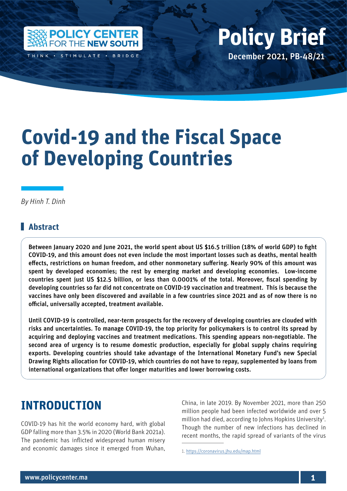

THINK . STIMULATE . BRIDGE

# Policy Center for the New South Policy British Policy British Policy British Policy British Policy British Policy British Policy British Policy British Policy British Policy British Policy British Policy British Policy Bri December 2021, PB-48/21 **Policy Brief**

# **Covid-19 and the Fiscal Space of Developing Countries**

*By Hinh T. Dinh*

### **Abstract**

Between January 2020 and June 2021, the world spent about US \$16.5 trillion (18% of world GDP) to fight COVID-19, and this amount does not even include the most important losses such as deaths, mental health effects, restrictions on human freedom, and other nonmonetary suffering. Nearly 90% of this amount was spent by developed economies; the rest by emerging market and developing economies. Low-income countries spent just US \$12.5 billion, or less than 0.0001% of the total. Moreover, fiscal spending by developing countries so far did not concentrate on COVID-19 vaccination and treatment. This is because the vaccines have only been discovered and available in a few countries since 2021 and as of now there is no official, universally accepted, treatment available.

Until COVID-19 is controlled, near-term prospects for the recovery of developing countries are clouded with risks and uncertainties. To manage COVID-19, the top priority for policymakers is to control its spread by acquiring and deploying vaccines and treatment medications. This spending appears non-negotiable. The second area of urgency is to resume domestic production, especially for global supply chains requiring exports. Developing countries should take advantage of the International Monetary Fund's new Special Drawing Rights allocation for COVID-19, which countries do not have to repay, supplemented by loans from international organizations that offer longer maturities and lower borrowing costs.

# **INTRODUCTION**

COVID-19 has hit the world economy hard, with global GDP falling more than 3.5% in 2020 (World Bank 2021a). The pandemic has inflicted widespread human misery and economic damages since it emerged from Wuhan,

China, in late 2019. By November 2021, more than 250 million people had been infected worldwide and over 5 million had died, according to Johns Hopkins University<sup>1</sup>. Though the number of new infections has declined in recent months, the rapid spread of variants of the virus

<sup>1.</sup> <https://coronavirus.jhu.edu/map.html>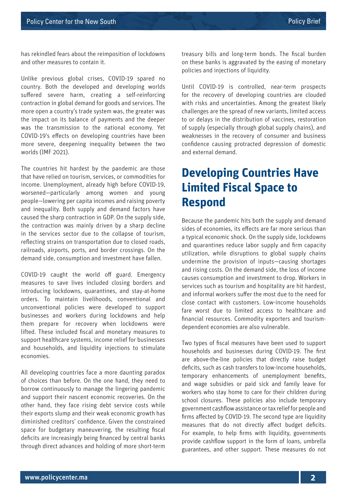has rekindled fears about the reimposition of lockdowns and other measures to contain it.

Unlike previous global crises, COVID-19 spared no country. Both the developed and developing worlds suffered severe harm, creating a self-reinforcing contraction in global demand for goods and services. The more open a country's trade system was, the greater was the impact on its balance of payments and the deeper was the transmission to the national economy. Yet COVID-19's effects on developing countries have been more severe, deepening inequality between the two worlds (IMF 2021).

The countries hit hardest by the pandemic are those that have relied on tourism, services, or commodities for income. Unemployment, already high before COVID-19, worsened—particularly among women and young people—lowering per capita incomes and raising poverty and inequality. Both supply and demand factors have caused the sharp contraction in GDP. On the supply side, the contraction was mainly driven by a sharp decline in the services sector due to the collapse of tourism, reflecting strains on transportation due to closed roads, railroads, airports, ports, and border crossings. On the demand side, consumption and investment have fallen.

COVID-19 caught the world off guard. Emergency measures to save lives included closing borders and introducing lockdowns, quarantines, and stay-at-home orders. To maintain livelihoods, conventional and unconventional policies were developed to support businesses and workers during lockdowns and help them prepare for recovery when lockdowns were lifted. These included fiscal and monetary measures to support healthcare systems, income relief for businesses and households, and liquidity injections to stimulate economies.

All developing countries face a more daunting paradox of choices than before. On the one hand, they need to borrow continuously to manage the lingering pandemic and support their nascent economic recoveries. On the other hand, they face rising debt service costs while their exports slump and their weak economic growth has diminished creditors' confidence. Given the constrained space for budgetary maneuvering, the resulting fiscal deficits are increasingly being financed by central banks through direct advances and holding of more short-term treasury bills and long-term bonds. The fiscal burden on these banks is aggravated by the easing of monetary policies and injections of liquidity.

Until COVID-19 is controlled, near-term prospects for the recovery of developing countries are clouded with risks and uncertainties. Among the greatest likely challenges are the spread of new variants, limited access to or delays in the distribution of vaccines, restoration of supply (especially through global supply chains), and weaknesses in the recovery of consumer and business confidence causing protracted depression of domestic and external demand.

# **Developing Countries Have Limited Fiscal Space to Respond**

Because the pandemic hits both the supply and demand sides of economies, its effects are far more serious than a typical economic shock. On the supply side, lockdowns and quarantines reduce labor supply and firm capacity utilization, while disruptions to global supply chains undermine the provision of inputs—causing shortages and rising costs. On the demand side, the loss of income causes consumption and investment to drop. Workers in services such as tourism and hospitality are hit hardest, and informal workers suffer the most due to the need for close contact with customers. Low-income households fare worst due to limited access to healthcare and financial resources. Commodity exporters and tourismdependent economies are also vulnerable.

Two types of fiscal measures have been used to support households and businesses during COVID-19. The first are above-the-line policies that directly raise budget deficits, such as cash transfers to low-income households, temporary enhancements of unemployment benefits, and wage subsidies or paid sick and family leave for workers who stay home to care for their children during school closures. These policies also include temporary government cashflow assistance or tax relief for people and firms affected by COVID-19. The second type are liquidity measures that do not directly affect budget deficits. For example, to help firms with liquidity, governments provide cashflow support in the form of loans, umbrella guarantees, and other support. These measures do not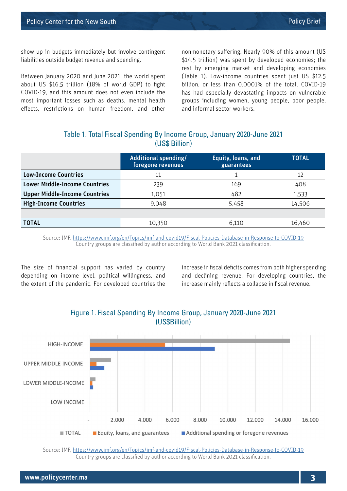show up in budgets immediately but involve contingent liabilities outside budget revenue and spending.

Between January 2020 and June 2021, the world spent about US \$16.5 trillion (18% of world GDP) to fight COVID-19, and this amount does not even include the most important losses such as deaths, mental health effects, restrictions on human freedom, and other

nonmonetary suffering. Nearly 90% of this amount (US \$14.5 trillion) was spent by developed economies; the rest by emerging market and developing economies (Table 1). Low-income countries spent just US \$12.5 billion, or less than 0.0001% of the total. COVID-19 has had especially devastating impacts on vulnerable groups including women, young people, poor people, and informal sector workers.

#### Table 1. Total Fiscal Spending By Income Group, January 2020-June 2021 (US\$ Billion)

|                                      | Additional spending/<br>foregone revenues | Equity, loans, and<br>guarantees | <b>TOTAL</b> |
|--------------------------------------|-------------------------------------------|----------------------------------|--------------|
| <b>Low-Income Countries</b>          |                                           |                                  | 12           |
| <b>Lower Middle-Income Countries</b> | 239                                       | 169                              | 408          |
| <b>Upper Middle-Income Countries</b> | 1,051                                     | 482                              | 1,533        |
| <b>High-Income Countries</b>         | 9,048                                     | 5,458                            | 14,506       |
|                                      |                                           |                                  |              |
| <b>TOTAL</b>                         | 10,350                                    | 6.110                            | 16,460       |

Source: IMF,<https://www.imf.org/en/Topics/imf-and-covid19/Fiscal-Policies-Database-in-Response-to-COVID-19> Country groups are classified by author according to World Bank 2021 classification.

The size of financial support has varied by country depending on income level, political willingness, and the extent of the pandemic. For developed countries the

increase in fiscal deficits comes from both higher spending and declining revenue. For developing countries, the increase mainly reflects a collapse in fiscal revenue.



#### Figure 1. Fiscal Spending By Income Group, January 2020-June 2021 (US\$Billion)

Source: IMF,<https://www.imf.org/en/Topics/imf-and-covid19/Fiscal-Policies-Database-in-Response-to-COVID-19> Country groups are classified by author according to World Bank 2021 classification.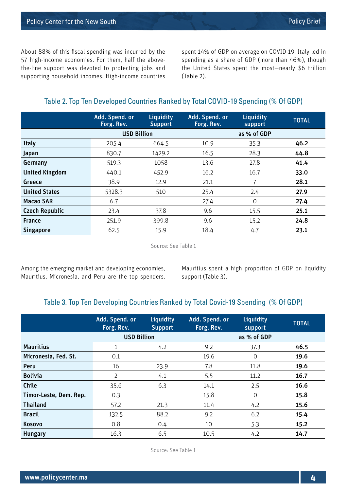About 88% of this fiscal spending was incurred by the 57 high-income economies. For them, half the abovethe-line support was devoted to protecting jobs and supporting household incomes. High-income countries

spent 14% of GDP on average on COVID-19. Italy led in spending as a share of GDP (more than 46%), though the United States spent the most—nearly \$6 trillion (Table 2).

#### Table 2. Top Ten Developed Countries Ranked by Total COVID-19 Spending (% Of GDP)

|                       | Add. Spend. or<br>Forg. Rev. | Liquidity<br><b>Support</b> | Add. Spend. or<br>Forg. Rev. | Liquidity<br>support | <b>TOTAL</b> |
|-----------------------|------------------------------|-----------------------------|------------------------------|----------------------|--------------|
|                       | <b>USD Billion</b>           |                             |                              | as % of GDP          |              |
| <b>Italy</b>          | 205.4                        | 664.5                       | 10.9                         | 35.3                 | 46.2         |
| Japan                 | 830.7                        | 1429.2                      | 16.5                         | 28.3                 | 44.8         |
| Germany               | 519.3                        | 1058                        | 13.6                         | 27.8                 | 41.4         |
| <b>United Kingdom</b> | 440.1                        | 452.9                       | 16.2                         | 16.7                 | 33.0         |
| Greece                | 38.9                         | 12.9                        | 21.1                         |                      | 28.1         |
| <b>United States</b>  | 5328.3                       | 510                         | 25.4                         | 2.4                  | 27.9         |
| <b>Macao SAR</b>      | 6.7                          |                             | 27.4                         | $\Omega$             | 27.4         |
| <b>Czech Republic</b> | 23.4                         | 37.8                        | 9.6                          | 15.5                 | 25.1         |
| <b>France</b>         | 251.9                        | 399.8                       | 9.6                          | 15.2                 | 24.8         |
| <b>Singapore</b>      | 62.5                         | 15.9                        | 18.4                         | 4.7                  | 23.1         |

Source: See Table 1

Among the emerging market and developing economies, Mauritius, Micronesia, and Peru are the top spenders. Mauritius spent a high proportion of GDP on liquidity support (Table 3).

#### Table 3. Top Ten Developing Countries Ranked by Total Covid-19 Spending (% Of GDP)

|                        | Add. Spend. or<br>Forg. Rev. | Liquidity<br><b>Support</b> | Add. Spend. or<br>Forg. Rev. | Liquidity<br>support | <b>TOTAL</b> |
|------------------------|------------------------------|-----------------------------|------------------------------|----------------------|--------------|
|                        | <b>USD Billion</b>           |                             |                              | as % of GDP          |              |
| <b>Mauritius</b>       | 1                            | 4.2                         | 9.2                          | 37.3                 | 46.5         |
| Micronesia, Fed. St.   | 0.1                          |                             | 19.6                         | $\mathcal{O}$        | 19.6         |
| Peru                   | 16                           | 23.9                        | 7.8                          | 11.8                 | 19.6         |
| <b>Bolivia</b>         | $\overline{2}$               | 4.1                         | 5.5                          | 11.2                 | 16.7         |
| Chile                  | 35.6                         | 6.3                         | 14.1                         | 2.5                  | 16.6         |
| Timor-Leste, Dem. Rep. | 0.3                          |                             | 15.8                         | $\mathcal{O}$        | 15.8         |
| <b>Thailand</b>        | 57.2                         | 21.3                        | 11.4                         | 4.2                  | 15.6         |
| <b>Brazil</b>          | 132.5                        | 88.2                        | 9.2                          | 6.2                  | 15.4         |
| Kosovo                 | 0.8                          | 0.4                         | 10                           | 5.3                  | 15.2         |
| <b>Hungary</b>         | 16.3                         | 6.5                         | 10.5                         | 4.2                  | 14.7         |

Source: See Table 1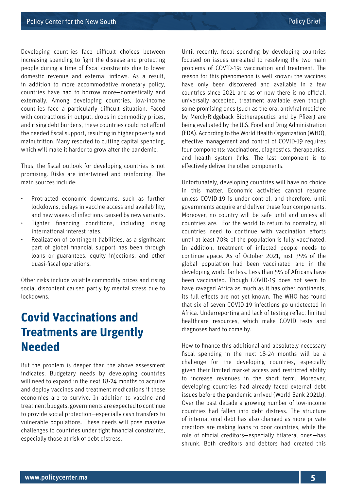Developing countries face difficult choices between increasing spending to fight the disease and protecting people during a time of fiscal constraints due to lower domestic revenue and external inflows. As a result, in addition to more accommodative monetary policy, countries have had to borrow more—domestically and externally. Among developing countries, low-income countries face a particularly difficult situation. Faced with contractions in output, drops in commodity prices, and rising debt burdens, these countries could not afford the needed fiscal support, resulting in higher poverty and malnutrition. Many resorted to cutting capital spending, which will make it harder to grow after the pandemic.

Thus, the fiscal outlook for developing countries is not promising. Risks are intertwined and reinforcing. The main sources include:

- Protracted economic downturns, such as further lockdowns, delays in vaccine access and availability, and new waves of infections caused by new variants.
- Tighter financing conditions, including rising international interest rates.
- Realization of contingent liabilities, as a significant part of global financial support has been through loans or guarantees, equity injections, and other quasi-fiscal operations.

Other risks include volatile commodity prices and rising social discontent caused partly by mental stress due to lockdowns.

# **Covid Vaccinations and Treatments are Urgently Needed**

But the problem is deeper than the above assessment indicates. Budgetary needs by developing countries will need to expand in the next 18-24 months to acquire and deploy vaccines and treatment medications if these economies are to survive. In addition to vaccine and treatment budgets, governments are expected to continue to provide social protection—especially cash transfers to vulnerable populations. These needs will pose massive challenges to countries under tight financial constraints, especially those at risk of debt distress.

Until recently, fiscal spending by developing countries focused on issues unrelated to resolving the two main problems of COVID-19: vaccination and treatment. The reason for this phenomenon is well known: the vaccines have only been discovered and available in a few countries since 2021 and as of now there is no official, universally accepted, treatment available even though some promising ones (such as the oral antiviral medicine by Merck/Ridgeback Biotherapeutics and by Pfizer) are being evaluated by the U.S. Food and Drug Administration (FDA). According to the World Health Organization (WHO), effective management and control of COVID-19 requires four components: vaccinations, diagnostics, therapeutics, and health system links. The last component is to effectively deliver the other components.

Unfortunately, developing countries will have no choice in this matter. Economic activities cannot resume unless COVID-19 is under control, and therefore, until governments acquire and deliver these four components. Moreover, no country will be safe until and unless all countries are. For the world to return to normalcy, all countries need to continue with vaccination efforts until at least 70% of the population is fully vaccinated. In addition, treatment of infected people needs to continue apace. As of October 2021, just 35% of the global population had been vaccinated—and in the developing world far less. Less than 5% of Africans have been vaccinated. Though COVID-19 does not seem to have ravaged Africa as much as it has other continents, its full effects are not yet known. The WHO has found that six of seven COVID-19 infections go undetected in Africa. Underreporting and lack of testing reflect limited healthcare resources, which make COVID tests and diagnoses hard to come by.

How to finance this additional and absolutely necessary fiscal spending in the next 18-24 months will be a challenge for the developing countries, especially given their limited market access and restricted ability to increase revenues in the short term. Moreover, developing countries had already faced external debt issues before the pandemic arrived (World Bank 2021b). Over the past decade a growing number of low-income countries had fallen into debt distress. The structure of international debt has also changed as more private creditors are making loans to poor countries, while the role of official creditors—especially bilateral ones—has shrunk. Both creditors and debtors had created this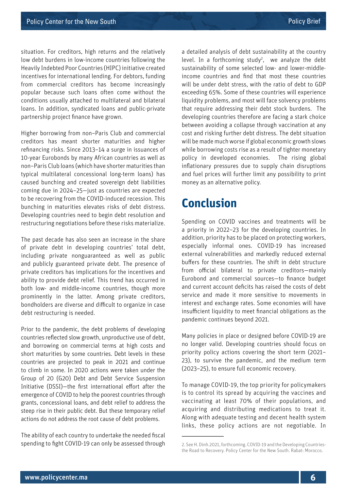situation. For creditors, high returns and the relatively low debt burdens in low-income countries following the Heavily Indebted Poor Countries (HIPC) initiative created incentives for international lending. For debtors, funding from commercial creditors has become increasingly popular because such loans often come without the conditions usually attached to multilateral and bilateral loans. In addition, syndicated loans and public-private partnership project finance have grown.

Higher borrowing from non–Paris Club and commercial creditors has meant shorter maturities and higher refinancing risks. Since 2013–14 a surge in issuances of 10-year Eurobonds by many African countries as well as non–Paris Club loans (which have shorter maturities than typical multilateral concessional long-term loans) has caused bunching and created sovereign debt liabilities coming due in 2024–25—just as countries are expected to be recovering from the COVID-induced recession. This bunching in maturities elevates risks of debt distress. Developing countries need to begin debt resolution and restructuring negotiations before these risks materialize.

The past decade has also seen an increase in the share of private debt in developing countries' total debt, including private nonguaranteed as well as public and publicly guaranteed private debt. The presence of private creditors has implications for the incentives and ability to provide debt relief. This trend has occurred in both low- and middle-income countries, though more prominently in the latter. Among private creditors, bondholders are diverse and difficult to organize in case debt restructuring is needed.

Prior to the pandemic, the debt problems of developing countries reflected slow growth, unproductive use of debt, and borrowing on commercial terms at high costs and short maturities by some countries. Debt levels in these countries are projected to peak in 2021 and continue to climb in some. In 2020 actions were taken under the Group of 20 (G20) Debt and Debt Service Suspension Initiative (DSSI)—the first international effort after the emergence of COVID to help the poorest countries through grants, concessional loans, and debt relief to address the steep rise in their public debt. But these temporary relief actions do not address the root cause of debt problems.

The ability of each country to undertake the needed fiscal spending to fight COVID-19 can only be assessed through

a detailed analysis of debt sustainability at the country level. In a forthcoming study<sup>2</sup>, we analyze the debt sustainability of some selected low- and lower-middleincome countries and find that most these countries will be under debt stress, with the ratio of debt to GDP exceeding 65%. Some of these countries will experience liquidity problems, and most will face solvency problems that require addressing their debt stock burdens. The developing countries therefore are facing a stark choice between avoiding a collapse through vaccination at any cost and risking further debt distress. The debt situation will be made much worse if global economic growth slows while borrowing costs rise as a result of tighter monetary policy in developed economies. The rising global inflationary pressures due to supply chain disruptions and fuel prices will further limit any possibility to print money as an alternative policy.

### **Conclusion**

Spending on COVID vaccines and treatments will be a priority in 2022–23 for the developing countries. In addition, priority has to be placed on protecting workers, especially informal ones. COVID-19 has increased external vulnerabilities and markedly reduced external buffers for these countries. The shift in debt structure from official bilateral to private creditors—mainly Eurobond and commercial sources—to finance budget and current account deficits has raised the costs of debt service and made it more sensitive to movements in interest and exchange rates. Some economies will have insufficient liquidity to meet financial obligations as the pandemic continues beyond 2021.

Many policies in place or designed before COVID-19 are no longer valid. Developing countries should focus on priority policy actions covering the short term (2021– 23), to survive the pandemic, and the medium term (2023–25), to ensure full economic recovery.

To manage COVID-19, the top priority for policymakers is to control its spread by acquiring the vaccines and vaccinating at least 70% of their populations, and acquiring and distributing medications to treat it. Along with adequate testing and decent health system links, these policy actions are not negotiable. In

<sup>2.</sup> See H. Dinh.2021, forthcoming. COVID-19 and the Developing Countriesthe Road to Recovery. Policy Center for the New South. Rabat: Morocco.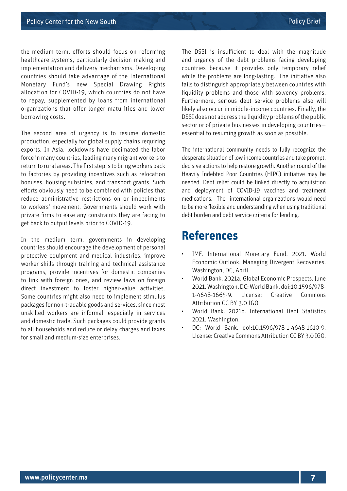the medium term, efforts should focus on reforming healthcare systems, particularly decision making and implementation and delivery mechanisms. Developing countries should take advantage of the International Monetary Fund's new Special Drawing Rights allocation for COVID-19, which countries do not have to repay, supplemented by loans from international organizations that offer longer maturities and lower borrowing costs.

The second area of urgency is to resume domestic production, especially for global supply chains requiring exports. In Asia, lockdowns have decimated the labor force in many countries, leading many migrant workers to return to rural areas. The first step is to bring workers back to factories by providing incentives such as relocation bonuses, housing subsidies, and transport grants. Such efforts obviously need to be combined with policies that reduce administrative restrictions on or impediments to workers' movement. Governments should work with private firms to ease any constraints they are facing to get back to output levels prior to COVID-19.

In the medium term, governments in developing countries should encourage the development of personal protective equipment and medical industries, improve worker skills through training and technical assistance programs, provide incentives for domestic companies to link with foreign ones, and review laws on foreign direct investment to foster higher-value activities. Some countries might also need to implement stimulus packages for non-tradable goods and services, since most unskilled workers are informal—especially in services and domestic trade. Such packages could provide grants to all households and reduce or delay charges and taxes for small and medium-size enterprises.

The DSSI is insufficient to deal with the magnitude and urgency of the debt problems facing developing countries because it provides only temporary relief while the problems are long-lasting. The initiative also fails to distinguish appropriately between countries with liquidity problems and those with solvency problems. Furthermore, serious debt service problems also will likely also occur in middle-income countries. Finally, the DSSI does not address the liquidity problems of the public sector or of private businesses in developing countries essential to resuming growth as soon as possible.

The international community needs to fully recognize the desperate situation of low income countries and take prompt, decisive actions to help restore growth. Another round of the Heavily Indebted Poor Countries (HIPC) initiative may be needed. Debt relief could be linked directly to acquisition and deployment of COVID-19 vaccines and treatment medications. The international organizations would need to be more flexible and understanding when using traditional debt burden and debt service criteria for lending.

### **References**

- IMF. International Monetary Fund. 2021. World Economic Outlook: Managing Divergent Recoveries. Washington, DC, April.
- World Bank. 2021a. Global Economic Prospects, June 2021. Washington, DC: World Bank. doi:10.1596/978- 1-4648-1665-9. License: Creative Commons Attribution CC BY 3.0 IGO.
- World Bank. 2021b. International Debt Statistics 2021. Washington,
- DC: World Bank. doi:10.1596/978-1-4648-1610-9. License: Creative Commons Attribution CC BY 3.0 IGO.